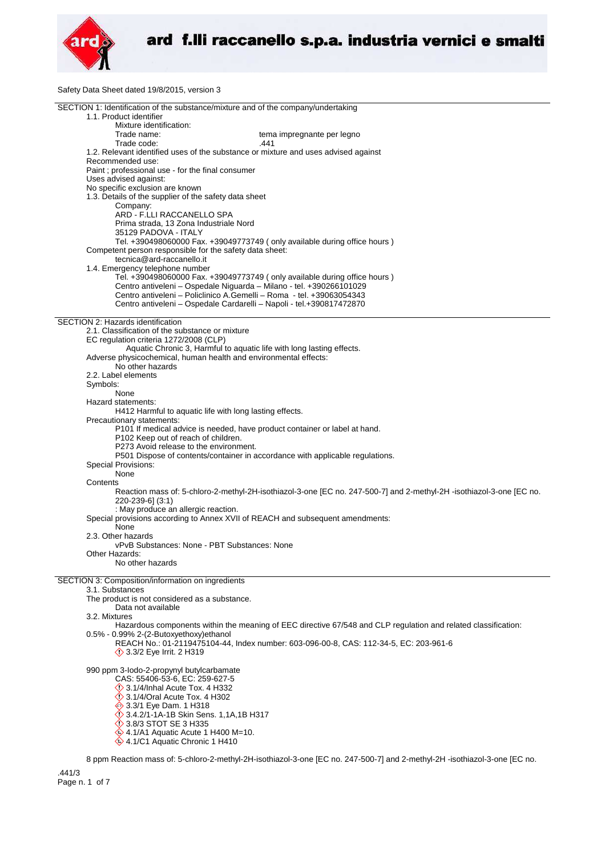

Safety Data Sheet dated 19/8/2015, version 3

| SECTION 1: Identification of the substance/mixture and of the company/undertaking<br>1.1. Product identifier                                     |
|--------------------------------------------------------------------------------------------------------------------------------------------------|
| Mixture identification:<br>Trade name:<br>tema impregnante per legno                                                                             |
| Trade code:<br>.441                                                                                                                              |
| 1.2. Relevant identified uses of the substance or mixture and uses advised against<br>Recommended use:                                           |
| Paint; professional use - for the final consumer<br>Uses advised against:<br>No specific exclusion are known                                     |
| 1.3. Details of the supplier of the safety data sheet                                                                                            |
| Company:                                                                                                                                         |
| ARD - F.LLI RACCANELLO SPA<br>Prima strada, 13 Zona Industriale Nord                                                                             |
| 35129 PADOVA - ITALY<br>Tel. +390498060000 Fax. +39049773749 (only available during office hours)                                                |
| Competent person responsible for the safety data sheet:<br>tecnica@ard-raccanello.it                                                             |
| 1.4. Emergency telephone number                                                                                                                  |
| Tel. +390498060000 Fax. +39049773749 (only available during office hours)<br>Centro antiveleni - Ospedale Niguarda - Milano - tel. +390266101029 |
| Centro antiveleni - Policlinico A.Gemelli - Roma - tel. +39063054343                                                                             |
| Centro antiveleni - Ospedale Cardarelli - Napoli - tel.+390817472870                                                                             |
| SECTION 2: Hazards identification                                                                                                                |
| 2.1. Classification of the substance or mixture                                                                                                  |
| EC regulation criteria 1272/2008 (CLP)<br>Aquatic Chronic 3, Harmful to aquatic life with long lasting effects.                                  |
| Adverse physicochemical, human health and environmental effects:                                                                                 |
| No other hazards                                                                                                                                 |
| 2.2. Label elements<br>Symbols:                                                                                                                  |
| None                                                                                                                                             |
| Hazard statements:                                                                                                                               |
| H412 Harmful to aquatic life with long lasting effects.<br>Precautionary statements:                                                             |
| P101 If medical advice is needed, have product container or label at hand.                                                                       |
| P102 Keep out of reach of children.                                                                                                              |
| P273 Avoid release to the environment.<br>P501 Dispose of contents/container in accordance with applicable regulations.                          |
| Special Provisions:                                                                                                                              |
| None                                                                                                                                             |
| Contents<br>Reaction mass of: 5-chloro-2-methyl-2H-isothiazol-3-one [EC no. 247-500-7] and 2-methyl-2H-isothiazol-3-one [EC no.                  |
| 220-239-6] (3:1)                                                                                                                                 |
| : May produce an allergic reaction.<br>Special provisions according to Annex XVII of REACH and subsequent amendments:                            |
| None                                                                                                                                             |
| 2.3. Other hazards                                                                                                                               |
| vPvB Substances: None - PBT Substances: None<br>Other Hazards:                                                                                   |
| No other hazards                                                                                                                                 |
| SECTION 3: Composition/information on ingredients                                                                                                |
| 3.1. Substances                                                                                                                                  |
| The product is not considered as a substance.                                                                                                    |
| Data not available<br>3.2. Mixtures                                                                                                              |
| Hazardous components within the meaning of EEC directive 67/548 and CLP regulation and related classification:                                   |
| 0.5% - 0.99% 2-(2-Butoxyethoxy)ethanol                                                                                                           |
| REACH No.: 01-2119475104-44, Index number: 603-096-00-8, CAS: 112-34-5, EC: 203-961-6<br><b>12 3.3/2 Eye Irrit. 2 H319</b>                       |
| 990 ppm 3-lodo-2-propynyl butylcarbamate                                                                                                         |
| CAS: 55406-53-6, EC: 259-627-5                                                                                                                   |
| $\Diamond$ 3.1/4/Inhal Acute Tox. 4 H332<br>3.1/4/Oral Acute Tox. 4 H302                                                                         |
| → 3.3/1 Eye Dam. 1 H318                                                                                                                          |
| 3.4.2/1-1A-1B Skin Sens. 1,1A,1B H317                                                                                                            |
| <b>12 3.8/3 STOT SE 3 H335</b><br>$\textcircled{4.1/A1}$ Aquatic Acute 1 H400 M=10.                                                              |
| 4.1/C1 Aquatic Chronic 1 H410                                                                                                                    |
| 8 nam Ponetion mass of 5 objects 2 methyl 3H isothiazel 3 and IEC no. 247 500 71 and 3 methyl 3H isothiazel 3 and IEC no                         |

8 ppm Reaction mass of: 5-chloro-2-methyl-2H-isothiazol-3-one [EC no. 247-500-7] and 2-methyl-2H -isothiazol-3-one [EC no.

.441/3 Page n. 1 of 7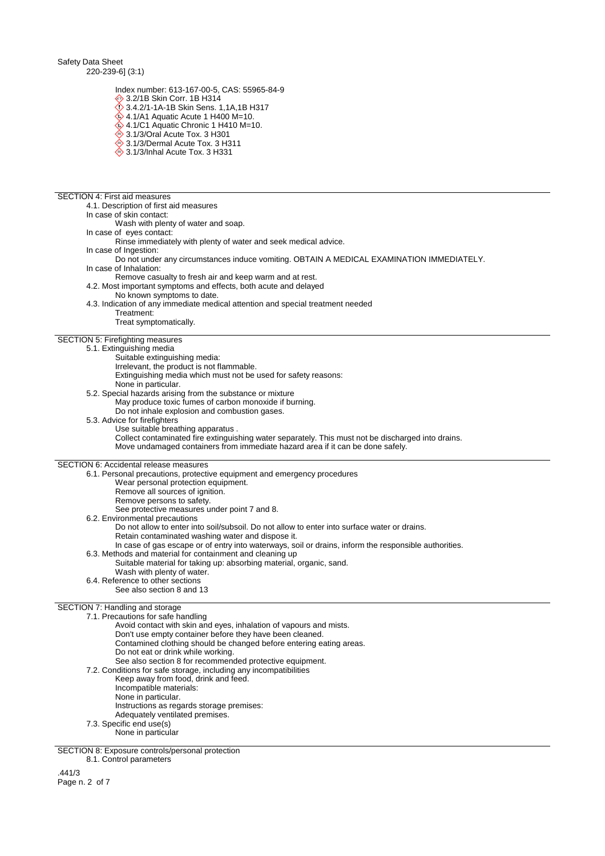Safety Data Sheet 220-239-6] (3:1)

Index number: 613-167-00-5, CAS: 55965-84-9

3.2/1B Skin Corr. 1B H314

- 3.4.2/1-1A-1B Skin Sens. 1,1A,1B H317
- $\hat{\textbf{Q}}$  4.1/A1 Aquatic Acute 1 H400 M=10.
- $\ddot{\diamond}$  4.1/C1 Aquatic Chronic 1 H410 M=10. **♦ 3.1/3/Oral Acute Tox. 3 H301**
- $\stackrel{\triangle}{\Leftrightarrow}$  3.1/3/Dermal Acute Tox. 3 H311
- $\overset{\triangle}{\diamond}$  3.1/3/Inhal Acute Tox. 3 H331

#### SECTION 4: First aid measures

4.1. Description of first aid measures

- In case of skin contact:
	- Wash with plenty of water and soap.
- In case of eyes contact:
	- Rinse immediately with plenty of water and seek medical advice.
- In case of Ingestion:
- Do not under any circumstances induce vomiting. OBTAIN A MEDICAL EXAMINATION IMMEDIATELY. In case of Inhalation:
- Remove casualty to fresh air and keep warm and at rest.
- 4.2. Most important symptoms and effects, both acute and delayed
	- No known symptoms to date.
- 4.3. Indication of any immediate medical attention and special treatment needed
	- Treatment: Treat symptomatically.
	-

# SECTION 5: Firefighting measures

- 5.1. Extinguishing media Suitable extinguishing media:
	-
	- Irrelevant, the product is not flammable. Extinguishing media which must not be used for safety reasons:
		- None in particular.
	-
- 5.2. Special hazards arising from the substance or mixture May produce toxic fumes of carbon monoxide if burning.
- Do not inhale explosion and combustion gases.
- 5.3. Advice for firefighters
	- Use suitable breathing apparatus . Collect contaminated fire extinguishing water separately. This must not be discharged into drains. Move undamaged containers from immediate hazard area if it can be done safely.

### SECTION 6: Accidental release measures

6.1. Personal precautions, protective equipment and emergency procedures

- Wear personal protection equipment.
- Remove all sources of ignition.
- Remove persons to safety.
	- See protective measures under point 7 and 8.
- 6.2. Environmental precautions
	- Do not allow to enter into soil/subsoil. Do not allow to enter into surface water or drains.
	- Retain contaminated washing water and dispose it.
		- In case of gas escape or of entry into waterways, soil or drains, inform the responsible authorities.
- 6.3. Methods and material for containment and cleaning up Suitable material for taking up: absorbing material, organic, sand.
- Wash with plenty of water.
- 6.4. Reference to other sections
	- See also section 8 and 13

### SECTION 7: Handling and storage

- 7.1. Precautions for safe handling
	- Avoid contact with skin and eyes, inhalation of vapours and mists.
	- Don't use empty container before they have been cleaned.
	- Contamined clothing should be changed before entering eating areas.
		- Do not eat or drink while working.
	- See also section 8 for recommended protective equipment.
	- 7.2. Conditions for safe storage, including any incompatibilities
		- Keep away from food, drink and feed.
			- Incompatible materials:
		- None in particular.
		- Instructions as regards storage premises:
		- Adequately ventilated premises.
	- 7.3. Specific end use(s)
		- None in particular

SECTION 8: Exposure controls/personal protection

8.1. Control parameters

.441/3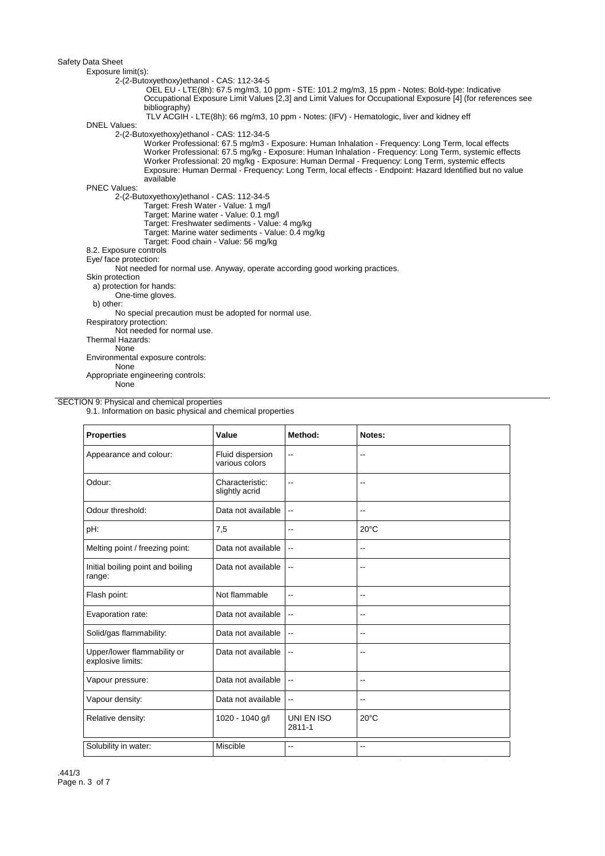| Exposure limit(s):       |                                                                                                                                                                                                                                                                                                                                                                                                                                        |
|--------------------------|----------------------------------------------------------------------------------------------------------------------------------------------------------------------------------------------------------------------------------------------------------------------------------------------------------------------------------------------------------------------------------------------------------------------------------------|
|                          | 2-(2-Butoxyethoxy)ethanol - CAS: 112-34-5                                                                                                                                                                                                                                                                                                                                                                                              |
|                          | OEL EU - LTE(8h): 67.5 mg/m3, 10 ppm - STE: 101.2 mg/m3, 15 ppm - Notes: Bold-type: Indicative                                                                                                                                                                                                                                                                                                                                         |
|                          | Occupational Exposure Limit Values [2,3] and Limit Values for Occupational Exposure [4] (for references see                                                                                                                                                                                                                                                                                                                            |
|                          | bibliography)                                                                                                                                                                                                                                                                                                                                                                                                                          |
|                          | TLV ACGIH - LTE(8h): 66 mg/m3, 10 ppm - Notes: (IFV) - Hematologic, liver and kidney eff                                                                                                                                                                                                                                                                                                                                               |
| <b>DNEL Values:</b>      |                                                                                                                                                                                                                                                                                                                                                                                                                                        |
|                          | 2-(2-Butoxyethoxy)ethanol - CAS: 112-34-5                                                                                                                                                                                                                                                                                                                                                                                              |
|                          | Worker Professional: 67.5 mg/m3 - Exposure: Human Inhalation - Frequency: Long Term, local effects<br>Worker Professional: 67.5 mg/kg - Exposure: Human Inhalation - Frequency: Long Term, systemic effects<br>Worker Professional: 20 mg/kg - Exposure: Human Dermal - Frequency: Long Term, systemic effects<br>Exposure: Human Dermal - Frequency: Long Term, local effects - Endpoint: Hazard Identified but no value<br>available |
| <b>PNEC Values:</b>      |                                                                                                                                                                                                                                                                                                                                                                                                                                        |
|                          | 2-(2-Butoxyethoxy)ethanol - CAS: 112-34-5                                                                                                                                                                                                                                                                                                                                                                                              |
|                          | Target: Fresh Water - Value: 1 mg/l                                                                                                                                                                                                                                                                                                                                                                                                    |
|                          | Target: Marine water - Value: 0.1 mg/l                                                                                                                                                                                                                                                                                                                                                                                                 |
|                          | Target: Freshwater sediments - Value: 4 mg/kg                                                                                                                                                                                                                                                                                                                                                                                          |
|                          | Target: Marine water sediments - Value: 0.4 mg/kg                                                                                                                                                                                                                                                                                                                                                                                      |
|                          | Target: Food chain - Value: 56 mg/kg                                                                                                                                                                                                                                                                                                                                                                                                   |
| 8.2. Exposure controls   |                                                                                                                                                                                                                                                                                                                                                                                                                                        |
| Eye/ face protection:    |                                                                                                                                                                                                                                                                                                                                                                                                                                        |
|                          | Not needed for normal use. Anyway, operate according good working practices.                                                                                                                                                                                                                                                                                                                                                           |
| Skin protection          |                                                                                                                                                                                                                                                                                                                                                                                                                                        |
| a) protection for hands: |                                                                                                                                                                                                                                                                                                                                                                                                                                        |
|                          | One-time gloves.                                                                                                                                                                                                                                                                                                                                                                                                                       |
| b) other:                |                                                                                                                                                                                                                                                                                                                                                                                                                                        |
|                          | No special precaution must be adopted for normal use.                                                                                                                                                                                                                                                                                                                                                                                  |
| Respiratory protection:  |                                                                                                                                                                                                                                                                                                                                                                                                                                        |
|                          | Not needed for normal use.                                                                                                                                                                                                                                                                                                                                                                                                             |
| Thermal Hazards:         |                                                                                                                                                                                                                                                                                                                                                                                                                                        |
| None                     |                                                                                                                                                                                                                                                                                                                                                                                                                                        |
|                          | Environmental exposure controls:                                                                                                                                                                                                                                                                                                                                                                                                       |
| None                     |                                                                                                                                                                                                                                                                                                                                                                                                                                        |
|                          | Appropriate engineering controls:                                                                                                                                                                                                                                                                                                                                                                                                      |
| None                     |                                                                                                                                                                                                                                                                                                                                                                                                                                        |

### SECTION 9: Physical and chemical properties

9.1. Information on basic physical and chemical properties

| <b>Properties</b>                                | Value                              | Method:                  | Notes:                   |
|--------------------------------------------------|------------------------------------|--------------------------|--------------------------|
| Appearance and colour:                           | Fluid dispersion<br>various colors | $\overline{a}$           | $\overline{a}$           |
| Odour:                                           | Characteristic:<br>slightly acrid  | $\overline{\phantom{a}}$ | --                       |
| Odour threshold:                                 | Data not available                 | $\overline{a}$           | $-$                      |
| pH:                                              | 7,5                                | $-$                      | $20^{\circ}$ C           |
| Melting point / freezing point:                  | Data not available                 | $\overline{\phantom{a}}$ | $-$                      |
| Initial boiling point and boiling<br>range:      | Data not available                 | $\overline{\phantom{a}}$ | $\overline{\phantom{a}}$ |
| Flash point:                                     | Not flammable                      | $\overline{a}$           | $\overline{\phantom{a}}$ |
| Evaporation rate:                                | Data not available                 | $\overline{\phantom{a}}$ | $\overline{\phantom{a}}$ |
| Solid/gas flammability:                          | Data not available                 | $\overline{\phantom{a}}$ | --                       |
| Upper/lower flammability or<br>explosive limits: | Data not available                 | $\overline{\phantom{a}}$ | --                       |
| Vapour pressure:                                 | Data not available                 | $\overline{\phantom{a}}$ | $-$                      |
| Vapour density:                                  | Data not available                 | $\overline{\phantom{a}}$ | $\overline{\phantom{a}}$ |
| Relative density:                                | 1020 - 1040 g/l                    | UNI EN ISO<br>2811-1     | $20^{\circ}$ C           |
| Solubility in water:                             | Miscible                           | $-$                      | $\overline{a}$           |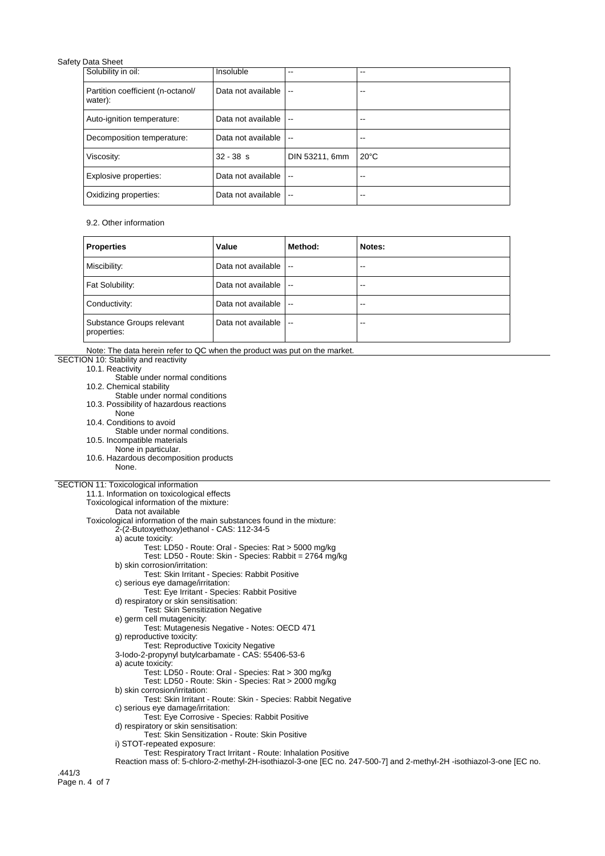| Solubility in oil:                           | Insoluble          | --                       | --             |
|----------------------------------------------|--------------------|--------------------------|----------------|
| Partition coefficient (n-octanol/<br>water): | Data not available | $\sim$                   | --             |
| Auto-ignition temperature:                   | Data not available | $\sim$                   | --             |
| Decomposition temperature:                   | Data not available | $\sim$                   | --             |
| Viscosity:                                   | $32 - 38$ s        | DIN 53211, 6mm           | $20^{\circ}$ C |
| Explosive properties:                        | Data not available | $\overline{\phantom{a}}$ | --             |
| Oxidizing properties:                        | Data not available | $\overline{\phantom{a}}$ | --             |

### 9.2. Other information

| <b>Properties</b>                        | Value              | Method:                  | Notes: |
|------------------------------------------|--------------------|--------------------------|--------|
| Miscibility:                             | Data not available | $\sim$ $\sim$            | --     |
| Fat Solubility:                          | Data not available | $\overline{\phantom{a}}$ | --     |
| Conductivity:                            | Data not available | $\overline{\phantom{a}}$ | $- -$  |
| Substance Groups relevant<br>properties: | Data not available | $\sim$                   | --     |

| Note: The data herein refer to QC when the product was put on the market.                                                                                                            |  |
|--------------------------------------------------------------------------------------------------------------------------------------------------------------------------------------|--|
| SECTION 10: Stability and reactivity                                                                                                                                                 |  |
| 10.1. Reactivity                                                                                                                                                                     |  |
| Stable under normal conditions                                                                                                                                                       |  |
| 10.2. Chemical stability                                                                                                                                                             |  |
| Stable under normal conditions                                                                                                                                                       |  |
| 10.3. Possibility of hazardous reactions                                                                                                                                             |  |
| None                                                                                                                                                                                 |  |
| 10.4. Conditions to avoid                                                                                                                                                            |  |
| Stable under normal conditions.                                                                                                                                                      |  |
| 10.5. Incompatible materials                                                                                                                                                         |  |
| None in particular.                                                                                                                                                                  |  |
| 10.6. Hazardous decomposition products                                                                                                                                               |  |
| None.                                                                                                                                                                                |  |
|                                                                                                                                                                                      |  |
| SECTION 11: Toxicological information                                                                                                                                                |  |
| 11.1. Information on toxicological effects                                                                                                                                           |  |
| Toxicological information of the mixture:                                                                                                                                            |  |
| Data not available                                                                                                                                                                   |  |
| Toxicological information of the main substances found in the mixture:                                                                                                               |  |
| 2-(2-Butoxyethoxy)ethanol - CAS: 112-34-5                                                                                                                                            |  |
| a) acute toxicity:                                                                                                                                                                   |  |
| Test: LD50 - Route: Oral - Species: Rat > 5000 mg/kg                                                                                                                                 |  |
| Test: LD50 - Route: Skin - Species: Rabbit = 2764 mg/kg                                                                                                                              |  |
| b) skin corrosion/irritation:                                                                                                                                                        |  |
| Test: Skin Irritant - Species: Rabbit Positive                                                                                                                                       |  |
| c) serious eye damage/irritation:                                                                                                                                                    |  |
| Test: Eye Irritant - Species: Rabbit Positive                                                                                                                                        |  |
| d) respiratory or skin sensitisation:                                                                                                                                                |  |
| <b>Test: Skin Sensitization Negative</b>                                                                                                                                             |  |
| e) germ cell mutagenicity:                                                                                                                                                           |  |
| Test: Mutagenesis Negative - Notes: OECD 471                                                                                                                                         |  |
| g) reproductive toxicity:                                                                                                                                                            |  |
| <b>Test: Reproductive Toxicity Negative</b>                                                                                                                                          |  |
| 3-lodo-2-propynyl butylcarbamate - CAS: 55406-53-6                                                                                                                                   |  |
| a) acute toxicity:                                                                                                                                                                   |  |
| Test: LD50 - Route: Oral - Species: Rat > 300 mg/kg                                                                                                                                  |  |
| Test: LD50 - Route: Skin - Species: Rat > 2000 mg/kg                                                                                                                                 |  |
| b) skin corrosion/irritation:                                                                                                                                                        |  |
| Test: Skin Irritant - Route: Skin - Species: Rabbit Negative                                                                                                                         |  |
| c) serious eye damage/irritation:                                                                                                                                                    |  |
| Test: Eye Corrosive - Species: Rabbit Positive<br>d) respiratory or skin sensitisation:                                                                                              |  |
|                                                                                                                                                                                      |  |
| Test: Skin Sensitization - Route: Skin Positive                                                                                                                                      |  |
| i) STOT-repeated exposure:                                                                                                                                                           |  |
| Test: Respiratory Tract Irritant - Route: Inhalation Positive<br>Reaction mass of: 5-chloro-2-methyl-2H-isothiazol-3-one [EC no. 247-500-7] and 2-methyl-2H-isothiazol-3-one [EC no. |  |
|                                                                                                                                                                                      |  |
| .441/3                                                                                                                                                                               |  |
| Page n. 4 of 7                                                                                                                                                                       |  |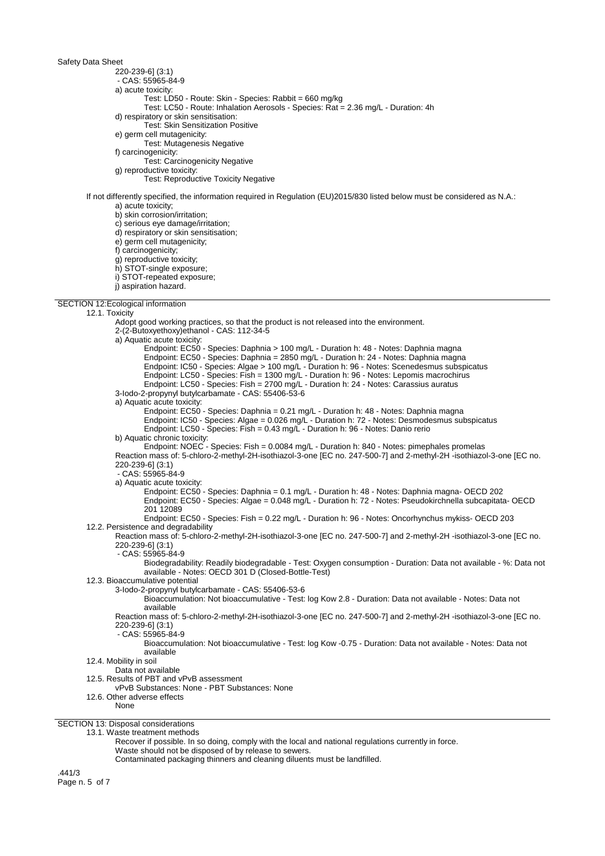220-239-6] (3:1)

- CAS: 55965-84-9

a) acute toxicity:

- Test: LD50 Route: Skin Species: Rabbit = 660 mg/kg
- Test: LC50 Route: Inhalation Aerosols Species: Rat = 2.36 mg/L Duration: 4h

d) respiratory or skin sensitisation:

- Test: Skin Sensitization Positive
- e) germ cell mutagenicity:

Test: Mutagenesis Negative

f) carcinogenicity:

Test: Carcinogenicity Negative

g) reproductive toxicity:

Test: Reproductive Toxicity Negative

If not differently specified, the information required in Regulation (EU)2015/830 listed below must be considered as N.A.: a) acute toxicity;

b) skin corrosion/irritation;

c) serious eye damage/irritation;

d) respiratory or skin sensitisation;

- e) germ cell mutagenicity;
- f) carcinogenicity;

g) reproductive toxicity;

- h) STOT-single exposure;
- i) STOT-repeated exposure;
- 

SECTION 12:Ecological information

### 12.1. Toxicity

j) aspiration hazard. Adopt good working practices, so that the product is not released into the environment. 2-(2-Butoxyethoxy)ethanol - CAS: 112-34-5 a) Aquatic acute toxicity: Endpoint: EC50 - Species: Daphnia > 100 mg/L - Duration h: 48 - Notes: Daphnia magna Endpoint: EC50 - Species: Daphnia = 2850 mg/L - Duration h: 24 - Notes: Daphnia magna Endpoint: IC50 - Species: Algae > 100 mg/L - Duration h: 96 - Notes: Scenedesmus subspicatus Endpoint: LC50 - Species: Fish = 1300 mg/L - Duration h: 96 - Notes: Lepomis macrochirus Endpoint: LC50 - Species: Fish = 2700 mg/L - Duration h: 24 - Notes: Carassius auratus 3-Iodo-2-propynyl butylcarbamate - CAS: 55406-53-6 a) Aquatic acute toxicity: Endpoint: EC50 - Species: Daphnia = 0.21 mg/L - Duration h: 48 - Notes: Daphnia magna Endpoint: IC50 - Species: Algae = 0.026 mg/L - Duration h: 72 - Notes: Desmodesmus subspicatus Endpoint: LC50 - Species: Fish = 0.43 mg/L - Duration h: 96 - Notes: Danio rerio b) Aquatic chronic toxicity: Endpoint: NOEC - Species: Fish = 0.0084 mg/L - Duration h: 840 - Notes: pimephales promelas Reaction mass of: 5-chloro-2-methyl-2H-isothiazol-3-one [EC no. 247-500-7] and 2-methyl-2H -isothiazol-3-one [EC no. 220-239-6] (3:1) - CAS: 55965-84-9 a) Aquatic acute toxicity: Endpoint: EC50 - Species: Daphnia = 0.1 mg/L - Duration h: 48 - Notes: Daphnia magna- OECD 202 Endpoint: EC50 - Species: Algae = 0.048 mg/L - Duration h: 72 - Notes: Pseudokirchnella subcapitata- OECD 201 12089 Endpoint: EC50 - Species: Fish = 0.22 mg/L - Duration h: 96 - Notes: Oncorhynchus mykiss- OECD 203 12.2. Persistence and degradability Reaction mass of: 5-chloro-2-methyl-2H-isothiazol-3-one [EC no. 247-500-7] and 2-methyl-2H -isothiazol-3-one [EC no. 220-239-6] (3:1) - CAS: 55965-84-9 Biodegradability: Readily biodegradable - Test: Oxygen consumption - Duration: Data not available - %: Data not available - Notes: OECD 301 D (Closed-Bottle-Test) 12.3. Bioaccumulative potential 3-Iodo-2-propynyl butylcarbamate - CAS: 55406-53-6

Bioaccumulation: Not bioaccumulative - Test: log Kow 2.8 - Duration: Data not available - Notes: Data not available

Reaction mass of: 5-chloro-2-methyl-2H-isothiazol-3-one [EC no. 247-500-7] and 2-methyl-2H -isothiazol-3-one [EC no. 220-239-6] (3:1)

- CAS: 55965-84-9

Bioaccumulation: Not bioaccumulative - Test: log Kow -0.75 - Duration: Data not available - Notes: Data not available

12.4. Mobility in soil

Data not available

12.5. Results of PBT and vPvB assessment

vPvB Substances: None - PBT Substances: None

12.6. Other adverse effects

None

SECTION 13: Disposal considerations

13.1. Waste treatment methods

Recover if possible. In so doing, comply with the local and national regulations currently in force.

Waste should not be disposed of by release to sewers.

Contaminated packaging thinners and cleaning diluents must be landfilled.

.441/3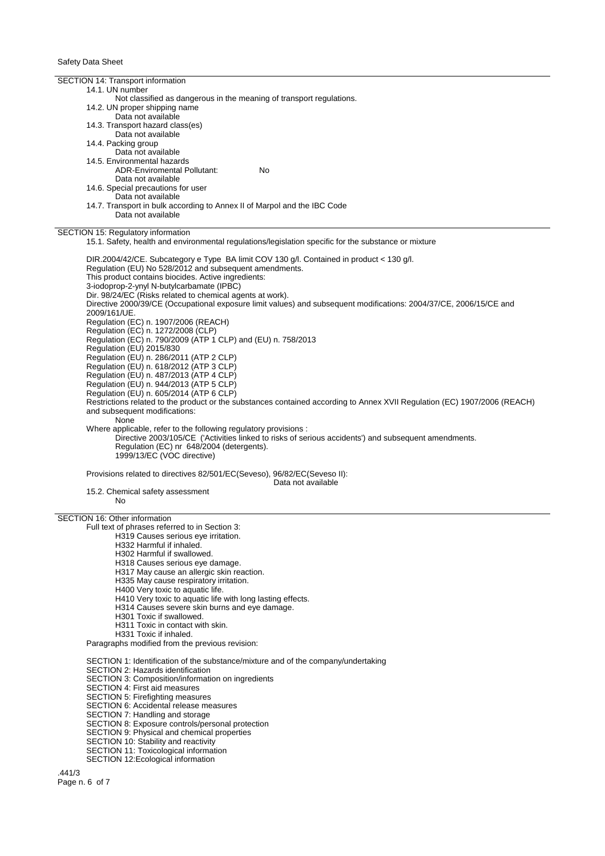SECTION 14: Transport information 14.1. UN number Not classified as dangerous in the meaning of transport regulations. 14.2. UN proper shipping name Data not available 14.3. Transport hazard class(es) Data not available 14.4. Packing group Data not available 14.5. Environmental hazards ADR-Enviromental Pollutant: No Data not available 14.6. Special precautions for user Data not available 14.7. Transport in bulk according to Annex II of Marpol and the IBC Code Data not available SECTION 15: Regulatory information 15.1. Safety, health and environmental regulations/legislation specific for the substance or mixture DIR.2004/42/CE. Subcategory e Type BA limit COV 130 g/l. Contained in product < 130 g/l. Regulation (EU) No 528/2012 and subsequent amendments. This product contains biocides. Active ingredients: 3-iodoprop-2-ynyl N-butylcarbamate (IPBC) Dir. 98/24/EC (Risks related to chemical agents at work). Directive 2000/39/CE (Occupational exposure limit values) and subsequent modifications: 2004/37/CE, 2006/15/CE and 2009/161/UE. Regulation (EC) n. 1907/2006 (REACH) Regulation (EC) n. 1272/2008 (CLP) Regulation (EC) n. 790/2009 (ATP 1 CLP) and (EU) n. 758/2013 Regulation (EU) 2015/830 Regulation (EU) n. 286/2011 (ATP 2 CLP) Regulation (EU) n. 618/2012 (ATP 3 CLP) Regulation (EU) n. 487/2013 (ATP 4 CLP) Regulation (EU) n. 944/2013 (ATP 5 CLP) Regulation (EU) n. 605/2014 (ATP 6 CLP) Restrictions related to the product or the substances contained according to Annex XVII Regulation (EC) 1907/2006 (REACH) and subsequent modifications: None Where applicable, refer to the following regulatory provisions : Directive 2003/105/CE ('Activities linked to risks of serious accidents') and subsequent amendments. Regulation (EC) nr 648/2004 (detergents). 1999/13/EC (VOC directive) Provisions related to directives 82/501/EC(Seveso), 96/82/EC(Seveso II): Data not available 15.2. Chemical safety assessment No SECTION 16: Other information Full text of phrases referred to in Section 3: H319 Causes serious eye irritation. H332 Harmful if inhaled. H302 Harmful if swallowed. H318 Causes serious eye damage. H317 May cause an allergic skin reaction. H335 May cause respiratory irritation. H400 Very toxic to aquatic life. H410 Very toxic to aquatic life with long lasting effects. H314 Causes severe skin burns and eye damage. H301 Toxic if swallowed. H311 Toxic in contact with skin. H331 Toxic if inhaled. Paragraphs modified from the previous revision: SECTION 1: Identification of the substance/mixture and of the company/undertaking SECTION 2: Hazards identification SECTION 3: Composition/information on ingredients SECTION 4: First aid measures SECTION 5: Firefighting measures SECTION 6: Accidental release measures SECTION 7: Handling and storage SECTION 8: Exposure controls/personal protection SECTION 9: Physical and chemical properties

- SECTION 10: Stability and reactivity
- SECTION 11: Toxicological information
- SECTION 12:Ecological information

.441/3 Page n. 6 of 7